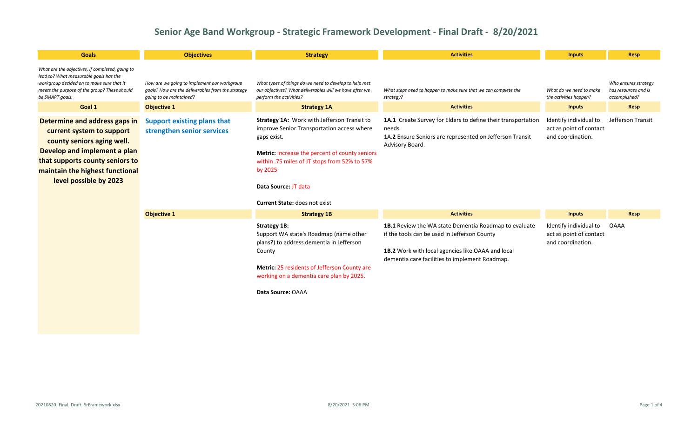| <b>Goals</b>                                                                                                                                                                                                             | <b>Objectives</b>                                                                                                           | <b>Strategy</b>                                                                                                                                                                                                                                                                       | <b>Activities</b>                                                                                                                                                                                            | <b>Inputs</b>                                                          | Resp                                                          |
|--------------------------------------------------------------------------------------------------------------------------------------------------------------------------------------------------------------------------|-----------------------------------------------------------------------------------------------------------------------------|---------------------------------------------------------------------------------------------------------------------------------------------------------------------------------------------------------------------------------------------------------------------------------------|--------------------------------------------------------------------------------------------------------------------------------------------------------------------------------------------------------------|------------------------------------------------------------------------|---------------------------------------------------------------|
| What are the objectives, if completed, going to<br>lead to? What measurable goals has the<br>workgroup decided on to make sure that it<br>meets the purpose of the group? These should<br>be SMART goals.                | How are we going to implement our workgroup<br>goals? How are the deliverables from the strategy<br>going to be maintained? | What types of things do we need to develop to help met<br>our objectives? What deliverables will we have after we<br>perform the activities?                                                                                                                                          | What steps need to happen to make sure that we can complete the<br>strategy?                                                                                                                                 | What do we need to make<br>the activities happen?                      | Who ensures strategy<br>has resources and is<br>accomplished? |
| Goal 1                                                                                                                                                                                                                   | <b>Objective 1</b>                                                                                                          | <b>Strategy 1A</b>                                                                                                                                                                                                                                                                    | <b>Activities</b>                                                                                                                                                                                            | <b>Inputs</b>                                                          | <b>Resp</b>                                                   |
| Determine and address gaps in<br>current system to support<br>county seniors aging well.<br>Develop and implement a plan<br>that supports county seniors to<br>maintain the highest functional<br>level possible by 2023 | <b>Support existing plans that</b><br>strengthen senior services                                                            | Strategy 1A: Work with Jefferson Transit to<br>improve Senior Transportation access where<br>gaps exist.<br>Metric: Increase the percent of county seniors<br>within .75 miles of JT stops from 52% to 57%<br>by 2025<br>Data Source: JT data<br><b>Current State: does not exist</b> | 1A.1 Create Survey for Elders to define their transportation<br>needs<br>1A.2 Ensure Seniors are represented on Jefferson Transit<br>Advisory Board.                                                         | Identify individual to<br>act as point of contact<br>and coordination. | Jefferson Transit                                             |
|                                                                                                                                                                                                                          | <b>Objective 1</b>                                                                                                          | <b>Strategy 1B</b>                                                                                                                                                                                                                                                                    | <b>Activities</b>                                                                                                                                                                                            | <b>Inputs</b>                                                          | Resp                                                          |
|                                                                                                                                                                                                                          |                                                                                                                             | <b>Strategy 1B:</b><br>Support WA state's Roadmap (name other<br>plans?) to address dementia in Jefferson<br>County<br>Metric: 25 residents of Jefferson County are<br>working on a dementia care plan by 2025.<br>Data Source: OAAA                                                  | 1B.1 Review the WA state Dementia Roadmap to evaluate<br>if the tools can be used in Jefferson County<br>1B.2 Work with local agencies like OAAA and local<br>dementia care facilities to implement Roadmap. | Identify individual to<br>act as point of contact<br>and coordination. | <b>OAAA</b>                                                   |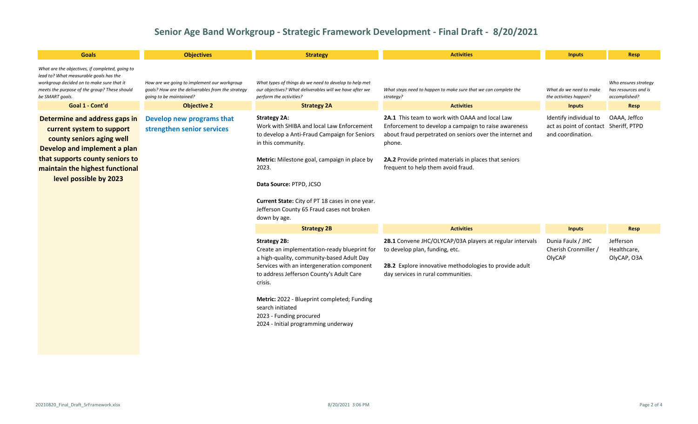| <b>Goals</b>                                                                                                                                                                                                                                                                       | <b>Objectives</b>                                                                                                           | <b>Strategy</b>                                                                                                                                                                                                                                                                                                                                            | <b>Activities</b>                                                                                                                                                                                                                                                           | <b>Inputs</b>                                                          | <b>Resp</b>                                                   |
|------------------------------------------------------------------------------------------------------------------------------------------------------------------------------------------------------------------------------------------------------------------------------------|-----------------------------------------------------------------------------------------------------------------------------|------------------------------------------------------------------------------------------------------------------------------------------------------------------------------------------------------------------------------------------------------------------------------------------------------------------------------------------------------------|-----------------------------------------------------------------------------------------------------------------------------------------------------------------------------------------------------------------------------------------------------------------------------|------------------------------------------------------------------------|---------------------------------------------------------------|
| What are the objectives, if completed, going to<br>lead to? What measurable goals has the<br>workgroup decided on to make sure that it<br>meets the purpose of the group? These should<br>be SMART goals.                                                                          | How are we going to implement our workgroup<br>goals? How are the deliverables from the strategy<br>going to be maintained? | What types of things do we need to develop to help met<br>our objectives? What deliverables will we have after we<br>perform the activities?                                                                                                                                                                                                               | What steps need to happen to make sure that we can complete the<br>strategy?                                                                                                                                                                                                | What do we need to make<br>the activities happen?                      | Who ensures strategy<br>has resources and is<br>accomplished? |
| Goal 1 - Cont'd                                                                                                                                                                                                                                                                    | <b>Objective 2</b>                                                                                                          | <b>Strategy 2A</b>                                                                                                                                                                                                                                                                                                                                         | <b>Activities</b>                                                                                                                                                                                                                                                           | <b>Inputs</b>                                                          | Resp                                                          |
| Determine and address gaps in<br>Develop new programs that<br>strengthen senior services<br>current system to support<br>county seniors aging well<br>Develop and implement a plan<br>that supports county seniors to<br>maintain the highest functional<br>level possible by 2023 |                                                                                                                             | <b>Strategy 2A:</b><br>Work with SHIBA and local Law Enforcement<br>to develop a Anti-Fraud Campaign for Seniors<br>in this community.<br>Metric: Milestone goal, campaign in place by<br>2023.<br>Data Source: PTPD, JCSO<br>Current State: City of PT 18 cases in one year.<br>Jefferson County 65 Fraud cases not broken<br>down by age.                | 2A.1 This team to work with OAAA and local Law<br>Enforcement to develop a campaign to raise awareness<br>about fraud perpetrated on seniors over the internet and<br>phone.<br>2A.2 Provide printed materials in places that seniors<br>frequent to help them avoid fraud. | Identify individual to<br>act as point of contact<br>and coordination. | OAAA, Jeffco<br>Sheriff, PTPD                                 |
|                                                                                                                                                                                                                                                                                    |                                                                                                                             | <b>Strategy 2B</b>                                                                                                                                                                                                                                                                                                                                         | <b>Activities</b>                                                                                                                                                                                                                                                           | <b>Inputs</b>                                                          | <b>Resp</b>                                                   |
|                                                                                                                                                                                                                                                                                    |                                                                                                                             | <b>Strategy 2B:</b><br>Create an implementation-ready blueprint for<br>a high-quality, community-based Adult Day<br>Services with an intergeneration component<br>to address Jefferson County's Adult Care<br>crisis.<br>Metric: 2022 - Blueprint completed; Funding<br>search initiated<br>2023 - Funding procured<br>2024 - Initial programming underway | 2B.1 Convene JHC/OLYCAP/03A players at regular intervals<br>to develop plan, funding, etc.<br>2B.2 Explore innovative methodologies to provide adult<br>day services in rural communities.                                                                                  | Dunia Faulx / JHC<br>Cherish Cronmiller /<br>OlyCAP                    | Jefferson<br>Healthcare,<br>OlyCAP, O3A                       |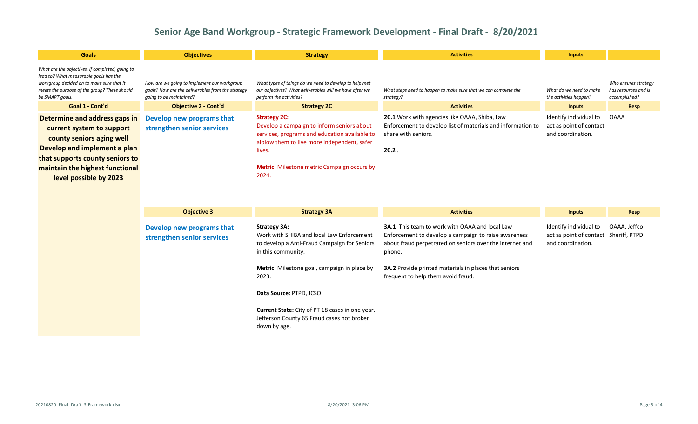| <b>Goals</b>                                                                                                                                                                                                            | <b>Objectives</b>                                                                                                           | <b>Strategy</b>                                                                                                                                                                                                                            | <b>Activities</b>                                                                                                                                      | <b>Inputs</b>                                                          |                                                               |
|-------------------------------------------------------------------------------------------------------------------------------------------------------------------------------------------------------------------------|-----------------------------------------------------------------------------------------------------------------------------|--------------------------------------------------------------------------------------------------------------------------------------------------------------------------------------------------------------------------------------------|--------------------------------------------------------------------------------------------------------------------------------------------------------|------------------------------------------------------------------------|---------------------------------------------------------------|
| What are the objectives, if completed, going to<br>lead to? What measurable goals has the<br>workgroup decided on to make sure that it<br>meets the purpose of the group? These should<br>be SMART goals.               | How are we going to implement our workgroup<br>goals? How are the deliverables from the strategy<br>going to be maintained? | What types of things do we need to develop to help met<br>our objectives? What deliverables will we have after we<br>perform the activities?                                                                                               | What steps need to happen to make sure that we can complete the<br>strategy?                                                                           | What do we need to make<br>the activities happen?                      | Who ensures strategy<br>has resources and is<br>accomplished? |
| Goal 1 - Cont'd                                                                                                                                                                                                         | <b>Objective 2 - Cont'd</b>                                                                                                 | <b>Strategy 2C</b>                                                                                                                                                                                                                         | <b>Activities</b>                                                                                                                                      | <b>Inputs</b>                                                          | <b>Resp</b>                                                   |
| Determine and address gaps in<br>current system to support<br>county seniors aging well<br>Develop and implement a plan<br>that supports county seniors to<br>maintain the highest functional<br>level possible by 2023 | Develop new programs that<br>strengthen senior services                                                                     | <b>Strategy 2C:</b><br>Develop a campaign to inform seniors about<br>services, programs and education available to<br>alolow them to live more independent, safer<br>lives.<br><b>Metric:</b> Milestone metric Campaign occurs by<br>2024. | <b>2C.1</b> Work with agencies like OAAA, Shiba, Law<br>Enforcement to develop list of materials and information to<br>share with seniors.<br>$2C.2$ . | Identify individual to<br>act as point of contact<br>and coordination. | OAAA                                                          |

| <b>Objective 3</b>                                      | <b>Strategy 3A</b>                                                                                                                     | <b>Activities</b>                                                                                                                                                                   | <b>Inputs</b>                                                                        | Resp         |
|---------------------------------------------------------|----------------------------------------------------------------------------------------------------------------------------------------|-------------------------------------------------------------------------------------------------------------------------------------------------------------------------------------|--------------------------------------------------------------------------------------|--------------|
| Develop new programs that<br>strengthen senior services | <b>Strategy 3A:</b><br>Work with SHIBA and local Law Enforcement<br>to develop a Anti-Fraud Campaign for Seniors<br>in this community. | <b>3A.1</b> This team to work with OAAA and local Law<br>Enforcement to develop a campaign to raise awareness<br>about fraud perpetrated on seniors over the internet and<br>phone. | Identify individual to<br>act as point of contact Sheriff, PTPD<br>and coordination. | OAAA, Jeffco |
|                                                         | <b>Metric:</b> Milestone goal, campaign in place by<br>2023.                                                                           | <b>3A.2</b> Provide printed materials in places that seniors<br>frequent to help them avoid fraud.                                                                                  |                                                                                      |              |
|                                                         | Data Source: PTPD, JCSO                                                                                                                |                                                                                                                                                                                     |                                                                                      |              |
|                                                         | Current State: City of PT 18 cases in one year.<br>Jefferson County 65 Fraud cases not broken<br>down by age.                          |                                                                                                                                                                                     |                                                                                      |              |